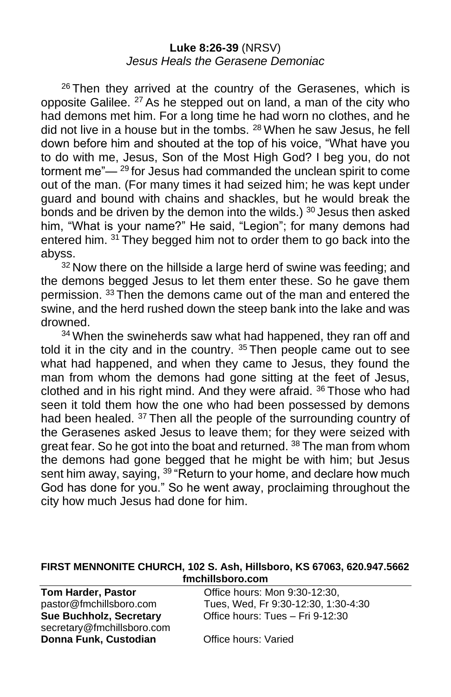### **Luke 8:26-39** (NRSV) *Jesus Heals the Gerasene Demoniac*

 $26$  Then they arrived at the country of the Gerasenes, which is opposite Galilee. <sup>27</sup> As he stepped out on land, a man of the city who had demons met him. For a long time he had worn no clothes, and he did not live in a house but in the tombs. <sup>28</sup> When he saw Jesus, he fell down before him and shouted at the top of his voice, "What have you to do with me, Jesus, Son of the Most High God? I beg you, do not torment me"—<sup>29</sup> for Jesus had commanded the unclean spirit to come out of the man. (For many times it had seized him; he was kept under guard and bound with chains and shackles, but he would break the bonds and be driven by the demon into the wilds.)  $30$  Jesus then asked him, "What is your name?" He said, "Legion"; for many demons had entered him. <sup>31</sup> They begged him not to order them to go back into the abyss.

 $32$  Now there on the hillside a large herd of swine was feeding; and the demons begged Jesus to let them enter these. So he gave them permission. <sup>33</sup> Then the demons came out of the man and entered the swine, and the herd rushed down the steep bank into the lake and was drowned.

<sup>34</sup> When the swineherds saw what had happened, they ran off and told it in the city and in the country. <sup>35</sup> Then people came out to see what had happened, and when they came to Jesus, they found the man from whom the demons had gone sitting at the feet of Jesus, clothed and in his right mind. And they were afraid. <sup>36</sup> Those who had seen it told them how the one who had been possessed by demons had been healed. <sup>37</sup> Then all the people of the surrounding country of the Gerasenes asked Jesus to leave them; for they were seized with great fear. So he got into the boat and returned. <sup>38</sup> The man from whom the demons had gone begged that he might be with him; but Jesus sent him away, saying, <sup>39</sup> "Return to your home, and declare how much God has done for you." So he went away, proclaiming throughout the city how much Jesus had done for him.

#### **FIRST MENNONITE CHURCH, 102 S. Ash, Hillsboro, KS 67063, 620.947.5662 fmchillsboro.com**

secretary@fmchillsboro.com **Donna Funk, Custodian Office hours: Varied** 

**Tom Harder, Pastor Conservery Conservery Conservery Particle hours:** Mon 9:30-12:30, pastor@fmchillsboro.com Tues, Wed, Fr 9:30-12:30, 1:30-4:30 **Sue Buchholz, Secretary** Office hours: Tues – Fri 9-12:30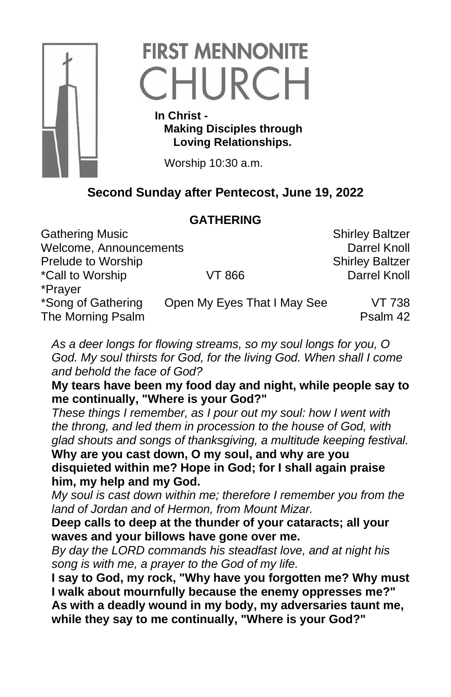

# **FIRST MENNONITE** CHURCH

 **In Christ - Making Disciples through Loving Relationships.**

Worship 10:30 a.m.

# **Second Sunday after Pentecost, June 19, 2022**

# **GATHERING**

Gathering Music **Shirley Baltzer** Shirley Baltzer Welcome, Announcements **Darrel Knoll** Prelude to Worship Shirley Baltzer \*Call to Worship VT 866 Darrel Knoll \*Prayer \*Song of Gathering Open My Eyes That I May See VT 738 The Morning Psalm **Properties** Contact The Morning Psalm 42

*As a deer longs for flowing streams, so my soul longs for you, O God. My soul thirsts for God, for the living God. When shall I come and behold the face of God?*

**My tears have been my food day and night, while people say to me continually, "Where is your God?"**

*These things I remember, as I pour out my soul: how I went with the throng, and led them in procession to the house of God, with glad shouts and songs of thanksgiving, a multitude keeping festival.*

**Why are you cast down, O my soul, and why are you disquieted within me? Hope in God; for I shall again praise him, my help and my God.** 

*My soul is cast down within me; therefore I remember you from the land of Jordan and of Hermon, from Mount Mizar.*

**Deep calls to deep at the thunder of your cataracts; all your waves and your billows have gone over me.**

*By day the LORD commands his steadfast love, and at night his song is with me, a prayer to the God of my life.*

**I say to God, my rock, "Why have you forgotten me? Why must I walk about mournfully because the enemy oppresses me?" As with a deadly wound in my body, my adversaries taunt me, while they say to me continually, "Where is your God?"**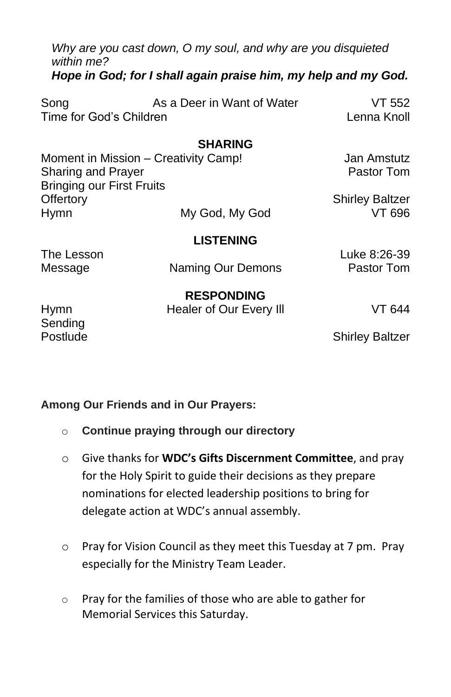*Why are you cast down, O my soul, and why are you disquieted within me? Hope in God; for I shall again praise him, my help and my God.*

| Song                    | As a Deer in Want of Water | VT 552      |
|-------------------------|----------------------------|-------------|
| Time for God's Children |                            | Lenna Knoll |

### **SHARING**

| Moment in Mission - Creativity Camp! |                  | Jan Amstutz            |
|--------------------------------------|------------------|------------------------|
| Sharing and Prayer                   |                  | Pastor Tom             |
| <b>Bringing our First Fruits</b>     |                  |                        |
| Offertory                            |                  | <b>Shirley Baltzer</b> |
| <b>Hymn</b>                          | My God, My God   | VT 696                 |
|                                      | <b>LISTENING</b> |                        |

The Lesson Luke 8:26-39 Message **Naming Our Demons** Pastor Tom

**RESPONDING** Hymn Healer of Our Every III VT 644

Sending

Postlude **Shirley Baltzer** 

#### **Among Our Friends and in Our Prayers:**

- o **Continue praying through our directory**
- o Give thanks for **WDC's Gifts Discernment Committee**, and pray for the Holy Spirit to guide their decisions as they prepare nominations for elected leadership positions to bring for delegate action at WDC's annual assembly.
- o Pray for Vision Council as they meet this Tuesday at 7 pm. Pray especially for the Ministry Team Leader.
- o Pray for the families of those who are able to gather for Memorial Services this Saturday.